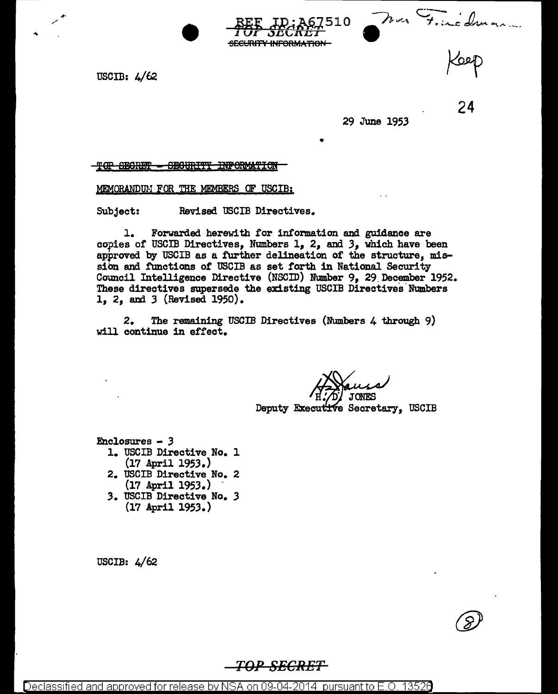Mon Finédronne

USCIB: 4/62

,,. /

29 June 1953

•

10

24

#### <u>TOP SECRET - SECURITY INFORMATION</u>

MEMORANDUM FOR THE MEMBERS OF USCIB:

Subject: Revised USCIB Directives.

1. Forwarded herewith for information and guidance are copies of USCIB Directives, Numbers  $1, 2,$  and  $3,$  which have been approved by USCIB as a further delineation of the structure,  $mis$ sion and functions of USCIB as set forth in National Security Council Intelligence Directive (NSCID) Number 9, 29 December 1952. These directives supersede the existing USCIB Directives Numbers 1, 2, and *3* (Revised 1950).

**SECURITY INFORMATION** 

2. The remaining USCIB Directives (Numbers 4 through 9) will continue in effect.

Deputy Executive Secretary, USCIB

 $Enclo  
sures - 3$ 

- 1. USCIB Directive No. l  $(17$  April  $1953.$
- 2. USCIB Directive No. 2<br>(17 April 1953.)
- (17 April 195.3.) *3.* USCIB Directive No. *<sup>3</sup>* (17 April 1953.)

USCIB: 4/62

*TO·PSECRET*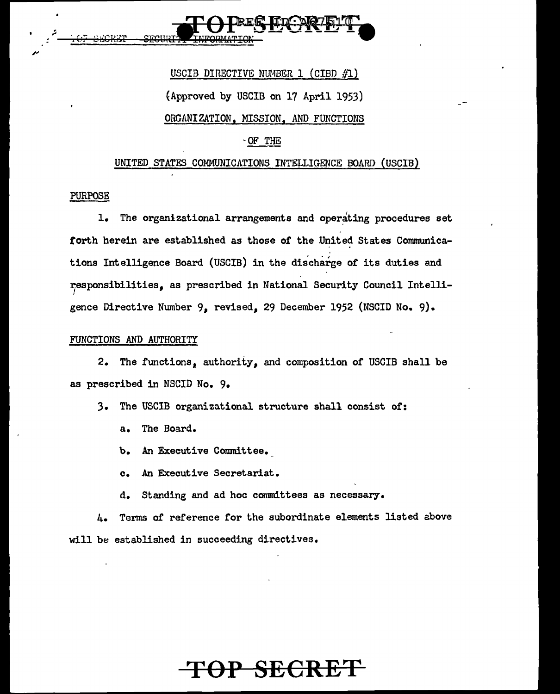

# USCIB DIRECTIVE NUMBER 1 (CIBD  $#1$ ) {Approved by USCIB on 17 April 1953) ORGANIZATION, MISSION, AND FUNCTIONS

## -OF THE

#### UNITED STATES COMMUNICATIONS INTELLIGENCE BOARD (USCIB)

#### PURPOSE

1. The organizational arrangements and operating procedures set torth herein are established as those of the United States Communications Intelligence Board (USCIB) in the discharge of its duties and 1esponsibilities, as prescribed in National Security Council Intelligence Directive Number 9, revised, 29 December 1952 (NSCID No. 9).

#### FUNCTIONS AND AUTHORITY

2. The functions, authority, and composition of USCIB shall be as prescribed in NSCID No. 9.

- 3. The USCIB organizational structure shall consist or:
	- a. The Board.
	- b. An Executive Committee.
	- c. An Executive Secretariat.
	- d. Standing and ad hoc committees as necessary.

4. Terms of reference for the subordinate elements listed above will be established in succeeding directives.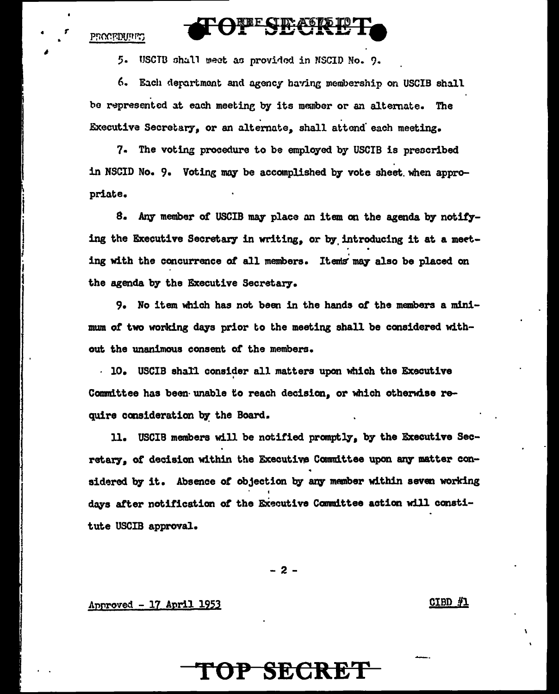#### PROCEDURES

•

5. USCIB shall meet as provided in NSCID No. 9.

6. Each department and agency having membership on USCIB shall be represented at each meeting by its member or an alternate. The Executive Secretary, or an alternate, shall attend each meeting.

<u>E CIDE LOND</u>

7. The voting procedure to be employed by USCIB is prescribed in NSCID No. 9. Voting may be accomplished by vote sheet when appropriate.

8. Any member of USCIB may place an item on the agenda by notifying the Executive Secretary in writing, or by introducing it at a meeting with the concurrence of all members. Items may also be placed on the agenda by the Executive Secretary.

9. No item which has not been in the hands *ot* the members a minimum of two working days prior to the meeting shall be considered without the unanimous consent *ot* the members •

 $\cdot$  10. USCIB shall consider all matters upon which the Executive Committee has been unable to reach decision, or which otherwise require consideration by the Board.

11. USCIB members will be notified promptly, by the Executive Secretary, of decision within the Executive Committee upon any matter considered by it. Absence of objection by any member within seven working days after notification of the Executive Committee action will constitute USCIB approval.

- 2 -

 $\Delta$ pproved - 17 April 1953 CIBD  $\#$ 1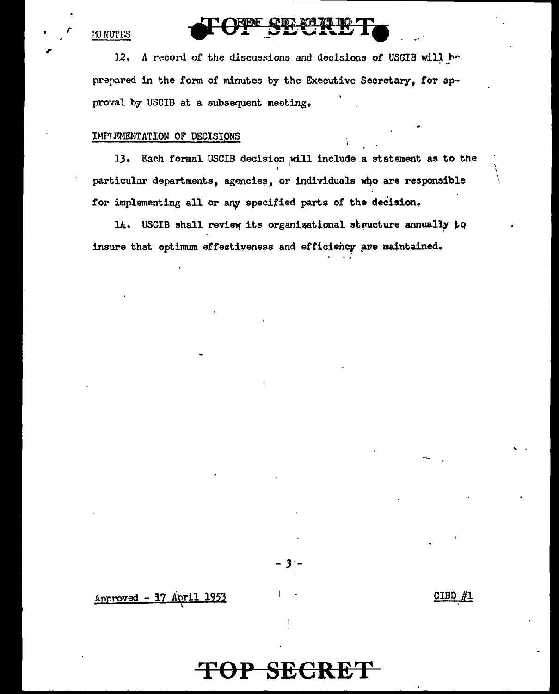#### **MUNUTES**

 $12.$ A record of the discussions and decisions of USCIB will be prepared in the form of minutes by the Executive Secretary, for approval by USCIB at a subsequent meeting.

#### IMPIFMENTATION OF DECISIONS

13. Each formal USCIB decision will include a statement as to the particular departments, agencies, or individuals who are responsible for implementing all or any specified parts of the decision.

14. USCIB shall review its organizational structure annually to insure that optimum effectiveness and efficiency are maintained.

Approved - 17 April 1953

CIBD #1

Å

## P SECRET

3.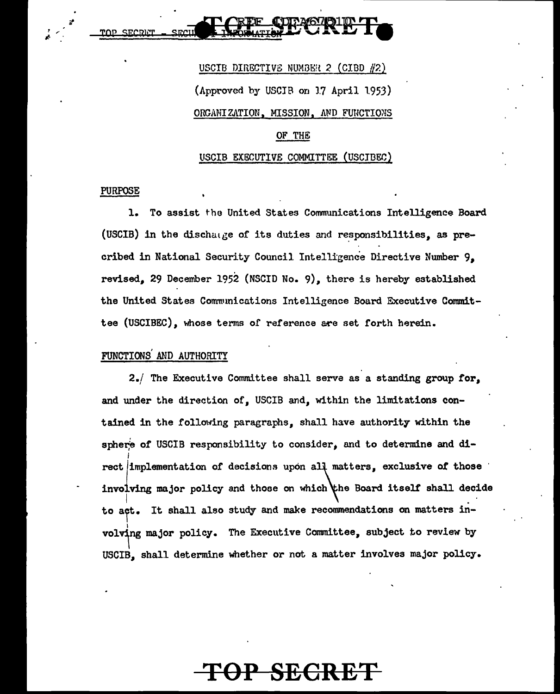<u>ייטממת פחיד</u>



#### USCIB EXBCUTIVE COMMITTEE (USCJDEC)

#### PURPOSE

1. To assist the United States Communications Intelligence Board (USCIB) in the dischange of its duties and responsibilities, as precribed in National Security Council Intelligence Directive Nwnber 9, revised, 29 December 1952 (NSCID No. 9), there is hereby established the United States Communications Intelligence Board Executive Committee (USCIBEC), whose terms of reference are set forth herein.

#### FUNCTIONS' AND AUTHORITY

2./ The Executive Committee shall serve as a standing group for, and under the direction of, USCIB and, within the limitations contained in the following paragraphs, shall have authority within the sphere of USCIB responsibility to consider, and to determine and di-1 rect/implementation of decisions upon all matters, exclusive of those involving major policy and those on which the Board itself shall decide to act. It shall also study and make recommendations on matters involving major policy. The Executive Committee, subject to review by USCIB, shall determine whether or not a matter involves major policy.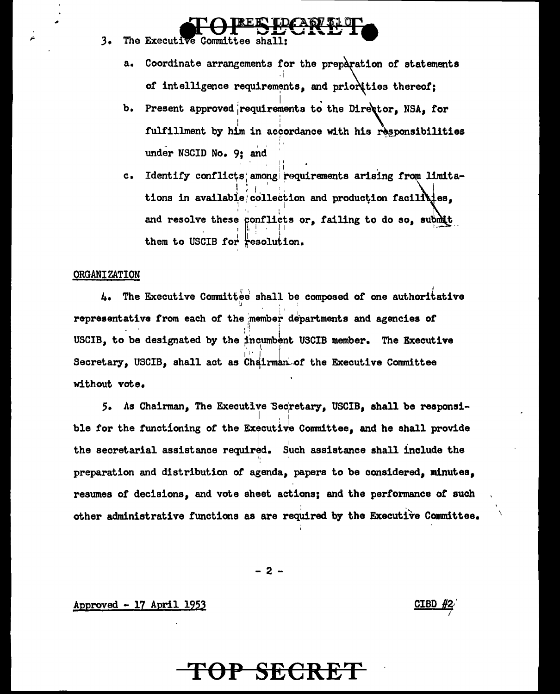- $3.$ The Executive Committee shall:
	- Coordinate arrangements for the preparation of statements  $a_{\bullet}$ of intelligence requirements, and priorities thereof;
	- $b<sub>1</sub>$ Present approved requirements to the Director. NSA, for fulfillment by him in accordance with his responsibilities under NSCID No. 9: and
	- Identify conflicts among requirements arising from limita $c_{\bullet}$ tions in available collection and production facilities. and resolve these conflicts or, failing to do so, submit them to USCIB for resolution.

#### ORGANIZATION

4. The Executive Committee shall be composed of one authoritative representative from each of the member departments and agencies of USCIB, to be designated by the incumbent USCIB member. The Executive Secretary, USCIB, shall act as Chairman of the Executive Committee without vote.

5. As Chairman, The Executive Secretary, USCIB, shall be responsible for the functioning of the Executive Committee, and he shall provide the secretarial assistance required. Such assistance shall include the preparation and distribution of agenda, papers to be considered, minutes, resumes of decisions, and vote sheet actions; and the performance of such other administrative functions as are required by the Executive Committee.

 $-2-$ 

#### Approved - 17 April 1953

#### CIBD  $#2$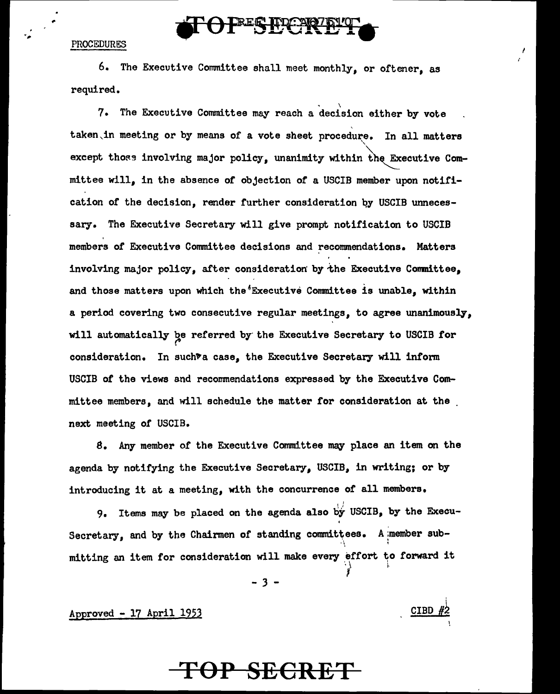#### PROCEDURES

6. The Executive Committee shall meet monthly, or oftener, as required.

**ERER HOL: 21671** 

,  $\sim$   $\lambda$ 

7. The Executive Conmittee may reach a decision either by vote taken, in meeting or by means of a vote sheet procedure. In all matters except those involving major policy, unanimity within the Executive Committee will, in the absence or objection or a USCIB member upon notification of the decision, render further consideration by USCIB unnecessary. The Executive Secretary will give prompt notification to USCIB members of Executive Committee decisions and recommendations. Matters involving major policy, after consideration by-the Executive Comnittee, and those matters upon which the Executive Committee is unable, within a period covering two consecutive regular meetings, to agree unanimously, will automatically be referred by the Executive Secretary to USCIB for consideration. In such<sup>+</sup>a case, the Executive Secretary will inform USCIB of the views and recommendations expressed by the Executive Committee members, and will schedule the matter for consideration at the next meeting of USCIB.

8. Any member of the Executive Committee may place an item on the agenda by notifying the Executive Secretary, USCIB, in writing; or by introducing it at a meeting, with the concurrence of all members.

9. Items may be placed on the agenda also by USCIB, by the Execu-Secretary, and by the Chairmen of standing committees. A member sub-' mitting an item for consideration will make every effort to forward it

- 3 -

I

 $\Delta$ pproved - 17 April 1953  $\overline{CD}$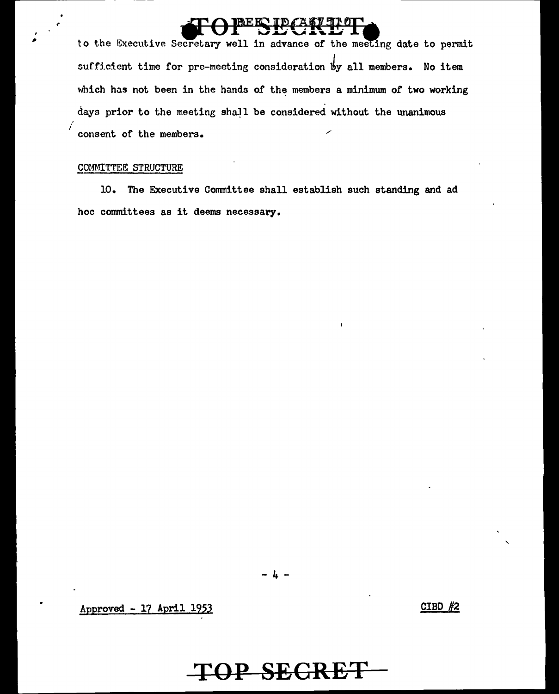to the Executive Secretary well in advance of the meeting date to permit sufficient time for pre-meeting consideration by all members. No item which has not been in the hands of the members a minimum of two working days prior to the meeting shall be considered without the unanimous consent of the members.

#### COMMITTEE STRUCTURE

İ

 $10.$ The Executive Committee shall establish such standing and ad hoc committees as it deems necessary.

OP SEGRET

Approved - 17 April 1953

CIBD  $#2$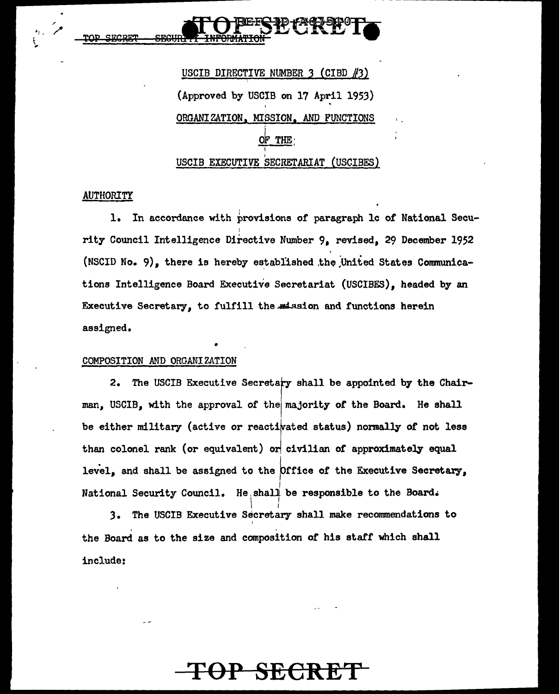USCIB DIRECTIVE NUMBER 3 (CIBD #3) (Approved by USCIB on 17 April 1953) ORGANIZATION, MISSION, AND FUNCTIONS OF THE USCIB EXECUTIVE SECRETARIAT (USCIBES)

### **AUTHORITY**

1. In accordance with provisions of paragraph le of National Security Council Intelligence Directive Number 9, revised, 29 December 1952 (NSCID No. 9), there is hereby established the United States Communications Intelligence Board Executive Secretariat (USCIBES), headed by an Executive Secretary, to fulfill the mission and functions herein assigned.

#### COMPOSITION AMO ORGANIZATION

•

2. The USCIB Executive Secretary shall be appointed by the Chairman, USCIB, with the approval of thelmajority of the Board. He shall be either military (active or reactivated status) normally of not less than colonel rank (or equivalent) or civilian of approximately equal level, and shall be assigned to the Office of the Executive Secretary, National Security Council. He<sub>;</sub>shal $\stackrel{|}{+}$  be responsible to the Board.

 $\mathbf{I}$   $\mathbf{I}$ 3. The USCIB Executive Secretary shall make recommendations to I . . the Board as to the size and composition of his staff which shall include: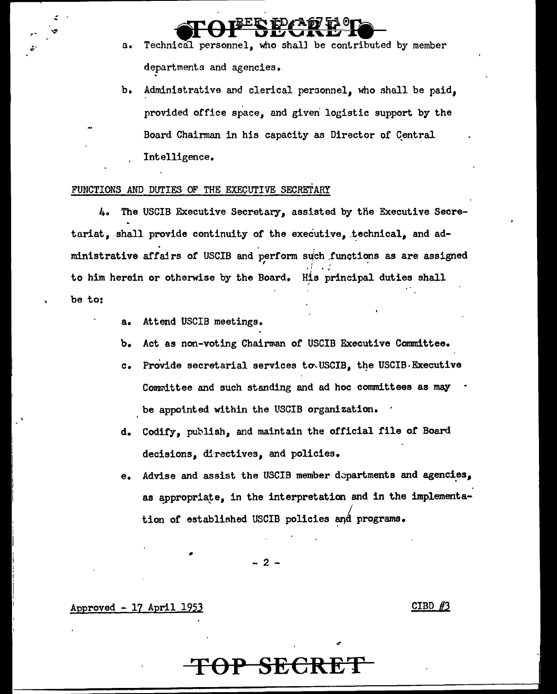**SFOPESEGREE Fo** a. Technical personnel, who shall be contributed by member departments and agencies.

> b. Administrative and clerical personnel, who shall be paid. provided office space, and given' logistic support by the Board Chairman in his capacity as Director of Central Intelligence.

#### FUNCTIONS AND DUTIES OF THE EXECUTIVE SECRETARY

4. The USCIB Executive Secretary, assisted by the Executive Secretariat, shall provide continuity of the executive, technical, and administrative affairs of USCIB and perform such functions as are assigned ' I recent the second control of the second control of the second control of the second control of the second control of the second control of the second control of the second control of the second control of the second co I I • <sup>~</sup> to him herein or otherwise by the Board. His principal duties shall be to:

- a. Attend USCIB meetings.
- b. Act as non-voting Chairman of USCIB Executive Committee.
- c. Provide secretarial services to USCIB, the USCIB Executive Committee and such standing and ad hoc committees as may be appointed within the USCIB organization.
- d. Codify, publish, and maintain the official file of Board decisions, directives, and policies.
- e. Advise and assist the USCIB member dopartments and agencies, as appropriate, in the interpretation and in the implementa-; tion of established USCIB policies and programs.

 $2 -$ 

Approved - 17 April 1953 CIBD *#3* 

## **SECRE**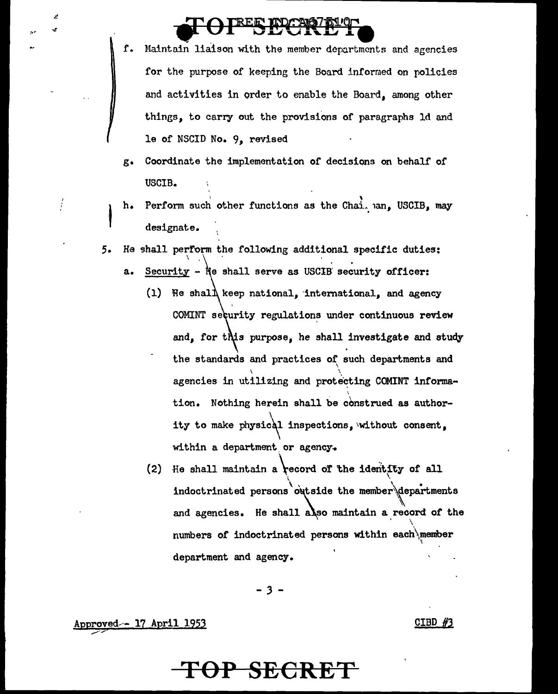# **lig COUPER ENGINEERS**

- f. Maintain liaison with the member departments and agencies for the purpose of keeping the Board informed on policies and activities in order to enable the Board, among other things, to carry out the provisions of paragraphs ld and le of NSCID No. 9, revised
- g. Coordinate the implementation of decisions on behalf of USCIB.
- 

h.

- Perform such other functions as the Chai.  $an_{\bullet}$  USCIB, may designate.
- 5. He shall perform the following additional specific duties:
	- a. Security Ne shall serve as USCIB security officer:
		- (1) He shal $\Lambda$  keep national, international, and agency COMINT seturity regulations under continuous review and, for this purpose, he shall investigate and study the standards and practices of such departments and \ \ agencies in utilizing and protecting COMINT information. Nothing herein shall be construed as authority to make physical inspections, without consent, within a department or agency.
		- (2) He shall maintain a record of the identity of all indoctrinated persons outside the member $\Diamond$  departments and agencies. He shall also maintain a record of the numbers of indoctrinated persons within each\member department and agency.

- 3 -

Approved-- 17 April 1953  $CIBD$  #3

## **TOP SECR**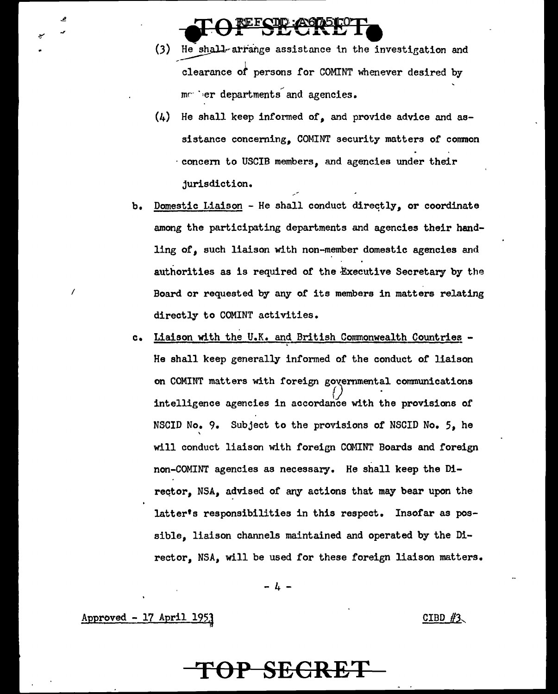- (3) He shall-arrange assistance in the investigation and  $\overline{\text{clearance of}}$  persons for COMINT whenever desired by marier departments and agencies.
- $(4)$  He shall keep informed of, and provide advice and assistance concerning, COMINT security matters of common · concent to USCIB members, and agencies under their jurisdiction.
- b. Domestic Liaison He shall conduct directly, or coordinate among the participating departments and agencies their handling of, such liaison with non-member domestic agencies and authorities as is required of the Executive Secretary by the Board or requested by any of its members in matters relating directly to COMINT activities.
- c. Liaison with the U.K. and British Commonwealth Countries -He shall keep generally informed of the conduct of liaison on COMINT matters with foreign governmental communications<br>intelligence agencies in accordance with the provisions of NSCID No. 9. Subject to the provisions of NSCID No. 5, he \ will conduct liaison with foreign COMINT Boards and foreign non-COMINT agencies as necessary. He shall keep the Direqtor, NSA, advised of any actions that may bear upon the latter's responsibilities in this respect. Insofar as possible, liaison channels maintained and operated by the Director, NSA, will be used for these foreign liaison matters.

- 4 -

 $\Delta$ aeproved - 17 April 1953

-~

فر

I